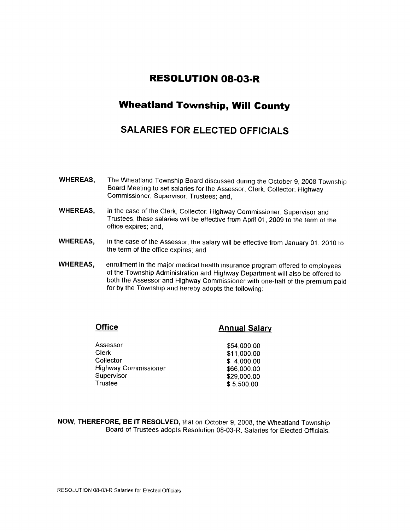## RESOLUTION O8-O3-R

## Wheatland Township, Will Gounty

## SALARIES FOR ELECTED OFFICIALS

- WHEREAS. The Wheatland Township Board discussed during the October 9, 2008 Township Board Meeting to set salaries for the Assessor, Clerk, Collector, Highway Commissioner, Supervisor, Trustees; and,
- WHEREAS. in the case of the clerk, collector, Highway commissioner, supervisor and Trustees, these salaries will be effective from April 01 , 2009 to the term of the office expires; and,
- WHEREAS, in the case of the Assessor, the salary will be effective from January 01, 2010 to the term of the office expires; and
- WHEREAS, enrollment in the major medical health insurance program offered to employees of the Township Administration and Highway Department will also be offered to both the Assessor and Highway commissioner with one-half of the premium paid for by the Township and hereby adopts the following:

## **Annual Salary**

| Assessor                    | \$54,000.00 |
|-----------------------------|-------------|
| <b>Clerk</b>                | \$11,000.00 |
| Collector                   | \$4,000.00  |
| <b>Highway Commissioner</b> | \$66,000.00 |
| Supervisor                  | \$29,000.00 |
| Trustee                     | \$5,500.00  |

NOW, THEREFORE, BE lT RESOLVED, that on October 9, 200S, the Wheatland Township Board of Trustees adopts Resolution 08-03-R, Salaries for Elected Officials.